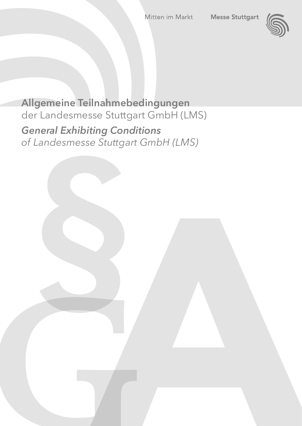

**Allgemeine Teilnahmebedingungen** der Landesmesse Stuttgart GmbH (LMS) *General Exhibiting Conditions of Landesmesse Stuttgart GmbH (LMS)*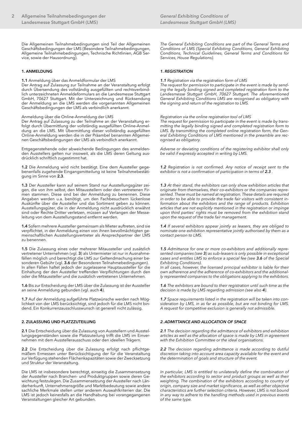Die Allgemeinen Teilnahmebedingungen sind Teil der Allgemeinen Geschäftsbedingungen der LMS (Besondere Teilnahmebedingungen, Allgemeine Teilnahmebedingungen, Technische Richtlinien, AGB Service, sowie der Hausordnung).

# **1. ANMELDUNG**

## **1.1** Anmeldung über das Anmeldformular der LMS

Der Antrag auf Zulassung zur Teilnahme an der Veranstaltung erfolgt durch Übersendung des vollständig ausgefüllten und rechtsverbindlich unterzeichneten Anmeldeformulars an die Landesmesse Stuttgart GmbH, 70627 Stuttgart. Mit der Unterzeichnung und Rücksendung der Anmeldung an die LMS werden die vorgenannten Allgemeinen Geschäftsbedingungen der LMS als verbindlich anerkannt.

# Anmeldung über die Online-Anmeldung der LMS

Der Antrag auf Zulassung zu der Teilnahme an der Veranstaltung erfolgt durch Übermittlung der vollständig ausgefüllten Online-Anmeldung an die LMS. Mit Übermittlung dieser vollständig ausgefüllten Online-Anmeldung werden die in der Präambel benannten Allgemeinen Geschäftsbedingungen der LMS als verbindlich anerkannt.

Entgegenstehende oder abweichende Bedingungen des anmeldenden Ausstellers gelten nur insoweit, als die LMS deren Geltung ausdrücklich schriftlich zugestimmt hat.

**1.2** Die Anmeldung wird nicht bestätigt. Eine dem Aussteller gegebenenfalls zugehende Eingangsmitteilung ist keine Teilnahmebestätigung im Sinne von **2.3**.

**1.3** Der Aussteller kann auf seinem Stand nur Ausstellungsgüter zeigen, die von ihm selbst, den Mitausstellern oder den vertretenen Firmen stammen. Diese sind bei der Anmeldung zu benennen. Diese Angaben werden u.a. benötigt, um den Fachbesuchern lückenlose Auskünfte über die Aussteller und das Sortiment geben zu können. Ausstellungsgüter, die in der Anmeldung nicht ausdrücklich erwähnt sind oder Rechte Dritter verletzen, müssen auf Verlangen der Messeleitung von dem Ausstellungsstand entfernt werden.

**1.4** Sofern mehrere Aussteller gemeinsam als Mieter auftreten, sind sie verpflichtet, in der Anmeldung einen von ihnen bevollmächtigten gemeinschaftlichen Ausstellungsvertreter als Ansprechpartner der LMS zu benennen.

**1.5** Die Zulassung eines oder mehrerer Mitaussteller und zusätzlich vertretener Unternehmen (vgl. **3**) als Untermieter ist nur in Ausnahmefällen möglich und berechtigt die LMS zur Geltendmachung einer besonderen Gebühr (vgl. **3.6** der Besonderen Teilnahmebedingungen). In allen Fällen haftet jedoch der zugelassene Hauptaussteller für die Einhaltung der den Aussteller treffenden Verpflichtungen durch den oder die Mitaussteller und die zusätzlich vertretenen Unternehmen.

**1.6** Bis zur Entscheidung der LMS über die Zulassung ist der Aussteller an seine Anmeldung gebunden (vgl. auch **4**).

**1.7** Auf der Anmeldung aufgeführte Platzwünsche werden nach Möglichkeit von der LMS berücksichtigt, sind jedoch für die LMS nicht bindend. Ein Konkurrenzausschlusswunsch ist generell nicht zulässig.

## **2. ZULASSUNG UND PLATZZUTEILUNG**

**2.1** Die Entscheidung über die Zulassung von Ausstellern und Ausstellungsgegenständen sowie die Platzzuteilung trifft die LMS im Einvernehmen mit dem Ausstellerausschuss oder den ideellen Trägern.

**2.2** Die Entscheidung über die Zulassung erfolgt nach pflichtgemäßem Ermessen unter Berücksichtigung der für die Veranstaltung zur Verfügung stehenden Flächenkapazitäten sowie der Zwecksetzung und Struktur der Veranstaltung.

Die LMS ist insbesondere berechtigt, einseitig die Zusammensetzung der Aussteller nach Branchen- und Produktgruppen sowie deren Gewichtung festzulegen. Die Zusammensetzung der Aussteller nach Länderherkunft, Unternehmensgröße und Marktbedeutung sowie andere sachliche Merkmale stellen unter anderem Auswahlkriterien dar. Die LMS ist jedoch keinesfalls an die Handhabung bei vorangegangenen Veranstaltungen gleicher Art gebunden.

*The General Exhibiting Conditions are part of the General Terms and Conditions of LMS (Special Exhibiting Conditions, General Exhibiting Conditions, Technical Guidelines, General Terms and Conditions for Services, House Regulations).*

## *1. REGISTRATION*

*1.1 Registration via the registration form of LMS* 

*The request for permission to participate in the event is made by sending the legally binding signed and completed registration form to the Landesmesse Stuttgart GmbH, 70627 Stuttgart. The aforementioned General Exhibiting Conditions LMS are recognised as obligatory with the signing and return of the registration to LMS.* 

*Registration via the online registration tool of LMS*

*The request for permission to participate in the event is made by transmitting the legally binding signed and completed registration form to LMS. By transmitting the completed online registration form, the General Exhibiting Conditions of LMS mentioned in the preamble are recognised as obligatory.*

*Adverse or deviating conditions of the registering exhibitor shall only be valid if expressly accepted in writing by LMS.* 

*1.2 Registration is not confirmed. Any notice of receipt sent to the exhibitor is not a confirmation of participation in terms of 2.3 .* 

*1.3 At their stand, the exhibitors can only show exhibition articles that originate from themselves, their co-exhibitors or the companies represented. These must be named at registration. These details are required in order to be able to provide the trade fair visitors with consistent information about the exhibitors and the range of products. Exhibition articles that are not explicitly mentioned in the registration or impinge upon third parties' rights must be removed from the exhibition stand upon the request of the trade fair management.*

*1.4 If several exhibitors appear jointly as leasers, they are obliged to nominate one exhibition representative jointly authorised by them as a contact person to LMS.* 

*1.5 Admittance for one or more co-exhibitors and additionally represented companies (see 3) as sub-leasers is only possible in exceptional cases and entitles LMS to enforce a special fee (see 3.6 of the Special Exhibiting Conditions).*

*In all cases, however, the licensed principal exhibitor is liable for their own adherence and the adherence of co-exhibitors and the additionally represented companies to the obligations applying to the exhibitors.*

*1.6 The exhibitors are bound to their registration until such time as the decision is made by LMS regarding admission (see also 4).*

*1.7 Space requirements listed in the registration will be taken into consideration by LMS, in as far as possible, but are not binding for LMS. A request for competitive exclusion is generally not admissible.* 

# *2. ADMITTANCE AND ALLOCATION OF SPACE*

*2.1 The decision regarding the admittance of exhibitors and exhibition articles as well as the allocation of space is made by LMS in agreement with the Exhibition Committee or the ideal organisations.*

*2.2 The decision regarding admittance is made according to dutiful discretion taking into account area capacity available for the event and the determination of goals and structure of the event.*

*In particular, LMS is entitled to unilaterally define the combination of the exhibitors according to sector and product groups as well as their weighting. The combination of the exhibitors according to country of origin, company size and market significance, as well as other objective characteristics are further selection criteria. However, LMS is not bound in any way to adhere to the handling methods used in previous events of the same type.*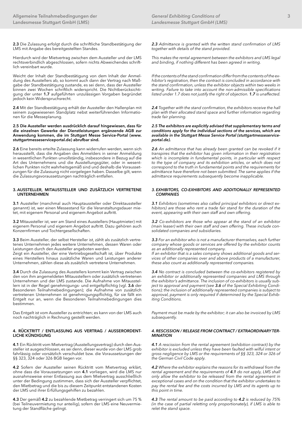**2.3** Die Zulassung erfolgt durch die schriftliche Standbestätigung der LMS mit Angabe des bereitgestellten Standes.

Hierdurch wird der Mietvertrag zwischen dem Aussteller und der LMS rechtsverbindlich abgeschlossen, sofern nichts Abweichendes schriftlich vereinbart wurde.

Weicht der Inhalt der Standbestätigung von dem Inhalt der Anmeldung des Ausstellers ab, so kommt auch dann der Vertrag nach Maßgabe der Standbestätigung zustande, es sei denn, dass der Aussteller binnen zwei Wochen schriftlich widerspricht. Die Nichtberücksichtigung der unter **1.7** aufgeführten unzulässigen Vorgaben begründet jedoch kein Widerspruchsrecht.

**2.4** Mit der Standbestätigung erhält der Aussteller den Hallenplan mit seinem zugewiesenen Standplatz nebst weiterführenden Informationen für die Messeplanung.

#### **2.5 Die Aussteller werden ausdrücklich darauf hingewiesen, dass für die einzelnen Gewerke der Dienstleistungen ergänzende AGB zur Anwendung kommen, die im Stuttgart Messe Service-Portal (www. stuttgartmesseserviceportal.de) abrufbar sind.**

**2.6** Eine bereits erteilte Zulassung kann widerrufen werden, wenn sich herausstellt, dass die Angaben des Anmelders in seiner Anmeldung in wesentlichen Punkten unvollständig, insbesondere in Bezug auf die Art des Unternehmens und die Ausstellungsgüter, oder in wesentlichen Punkten nicht wahrheitsgemäß sind und deshalb die Voraussetzungen für die Zulassung nicht vorgelegen haben. Dasselbe gilt, wenn die Zulassungsvoraussetzungen nachträglich entfallen.

### **3. AUSSTELLER, MITAUSSTELLER UND ZUSÄTZLICH VERTRETENE UNTERNEHMEN**

**3.1** Aussteller (manchmal auch Hauptaussteller oder Direktaussteller genannt) ist, wer einen Messestand für die Veranstaltungsdauer mietet, mit eigenem Personal und eigenem Angebot auftritt.

**3.2** Mitaussteller ist, wer am Stand eines Ausstellers (Hauptmieter) mit eigenem Personal und eigenem Angebot auftritt. Dazu gehören auch Konzernfirmen und Tochtergesellschaften.

**3.3** Beim Aussteller, der selbst Hersteller ist, zählt als zusätzlich vertretenes Unternehmen jedes weitere Unternehmen, dessen Waren oder Leistungen durch den Aussteller angeboten werden.

Zeigt ein Aussteller, der eine Vertriebsgesellschaft ist, über Produkte eines Herstellers hinaus zusätzliche Waren und Leistungen anderer Unternehmen, zählen diese als zusätzlich vertretene Unternehmen.

**3.4** Durch die Zulassung des Ausstellers kommt kein Vertrag zwischen den von ihm angemeldeten Mitausstellern oder zusätzlich vertretenen Unternehmen und der LMS zustande. Die Aufnahme von Mitausstellern ist in der Regel genehmigungs- und entgeltpflichtig (vgl. **3.6** der Besonderen Teilnahmebedingungen); die Aufnahme von zusätzlich vertretenen Unternehmen ist genehmigungspflichtig, für sie fällt ein Entgelt nur an, wenn die Besonderen Teilnahmebedingungen dies bestimmen.

Das Entgelt ist vom Aussteller zu entrichten; es kann von der LMS auch noch nachträglich in Rechnung gestellt werden.

## **4. RÜCKTRITT / ENTLASSUNG AUS VERTRAG / AUSSERORDENT-LICHE KÜNDIGUNG**

**4.1** Ein Rücktritt vom Mietvertrag (Ausstellungsvertrag) durch den Aussteller ist ausgeschlossen, es sei denn, dieser wurde von der LMS grob fahrlässig oder vorsätzlich verschuldet bzw. die Voraussetzungen der §§ 323, 324 oder 326 BGB liegen vor.

**4.2** Sofern der Aussteller seinen Rücktritt vom Mietvertrag erklärt, ohne dass die Voraussetzungen von **4.1** vorliegen, wird die LMS nur ausnahmsweise einer Entlassung aus dem Mietvertrag ausschließlich unter der Bedingung zustimmen, dass sich der Aussteller verpflichtet, den Mietbetrag und die bis zu diesem Zeitpunkt entstandenen Kosten der LMS und ihrer Erfüllungsgehilfen zu bezahlen.

**4.3** Der gemäß **4.2** zu bezahlende Mietbetrag verringert sich um 75 % (bei Teilneuvermietung nur anteilig), sofern der LMS eine Neuvermietung der Standfläche gelingt.

*2.3 Admittance is granted with the written stand confirmation of LMS together with details of the stand provided.*

*This makes the rental agreement between the exhibitors and LMS legal and binding, if nothing different has been agreed in writing.*

*If the contents of the stand confirmation differ from the contents of the exhibitor's registration, then the contract is concluded in accordance with the stand confirmation, unless the exhibitor objects within two weeks in writing. Failure to take into account the non-admissible specifications listed under 1.7 does not justify the right of objection. 1.7 is unaffected.*

*2.4 Together with the stand confirmation, the exhibitors receive the hall plan with their allocated stand space and further information regarding trade fair planning.* 

#### *2.5 The exhibitors are explicitly advised that supplementary terms and conditions apply for the individual sections of the services, which are available in the Stuttgart Messe Service Portal (stuttgartmesseserviceportal.de).*

*2.6 An admittance that has already been granted can be revoked if it transpires that the exhibitor has given information in their registration which is incomplete in fundamental points, in particular with respect to the type of company and its exhibition articles, or which does not correspond to the truth in fundamental points and the requirements for admittance have therefore not been submitted. The same applies if the admittance requirements subsequently become inapplicable.*

#### *3. EXHIBITORS, CO-EXHIBITORS AND ADDITIONALLY REPRESENTED COMPANIES*

*3.1 Exhibitors (sometimes also called principal exhibitors or direct exhibitors) are those who rent a trade fair stand for the duration of the event, appearing with their own staff and own offering.*

*3.2 Co-exhibitors are those who appear at the stand of an exhibitor (main leaser) with their own staff and own offering. These include consolidated companies and subsidiaries.*

*3.3 For an exhibitor who is not a manufacturer themselves, each further company whose goods or services are offered by the exhibitor counts as an additionally represented company.* 

*If an exhibitor that is a sales company shows additional goods and services of other companies over and above products of a manufacturer, these also count as additionally represented companies.* 

*3.4 No contract is concluded between the co-exhibitors registered by an exhibitor or additionally represented companies and LMS through the exhibitor's admittance. The inclusion of co-exhibitors is usually subject to approval and payment (see 3.6 of the Special Exhibiting Conditions); the inclusion of additionally represented companies is subject to approval, payment is only required if determined by the Special Exhibiting Conditions.* 

*Payment must be made by the exhibitor; it can also be invoiced by LMS subsequently.* 

## *4. RESCISSION / RELEASE FROM CONTRACT / EXTRAORDINARY TER-MINATION*

*4.1 A rescission from the rental agreement (exhibition contract) by the exhibitor is excluded unless they have been faulted with wilful intent or gross negligence by LMS or the requirements of §§ 323, 324 or 326 of the German Civil Code apply.*

*4.2 Where the exhibitor explains the reasons for its withdrawal from the rental agreement and the requirements of 4.1 do not apply, LMS shall only allow the exhibitor to be released from the rental agreement in exceptional cases and on the condition that the exhibitor undertakes to pay the rental fee and the costs incurred by LMS and its agents up to this point in time.* 

*4.3 The rental amount to be paid according to 4.2 is reduced by 75% (in the case of partial reletting only proportionately), if LMS is able to relet the stand space.*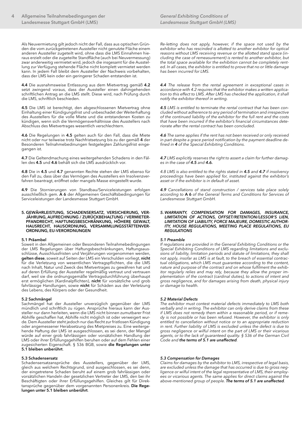Als Neuvermietung gilt jedoch nicht der Fall, dass aus optischen Gründen die vom zurückgetretenen Aussteller nicht genutzte Fläche einem anderen Aussteller zugeteilt wird, ohne dass die LMS Einnahmen hieraus erzielt oder die zugeteilte Standfläche (auch bei Neuvermessung) zwar anderweitig vermietet wird, jedoch die insgesamt für die Ausstellung zur Verfügung stehende Fläche nicht komplett vermietet werden kann. In jedem Fall bleibt dem Aussteller der Nachweis vorbehalten, dass der LMS kein oder ein geringerer Schaden entstanden ist.

**4.4** Die ausnahmsweise Entlassung aus dem Mietvertrag gemäß **4.2**  setzt zwingend voraus, dass der Aussteller einen dahingehenden schriftlichen Antrag an die LMS stellt. Diese wird, nach Prüfung durch die LMS, schriftlich beschieden.

**4.5** Die LMS ist berechtigt, den abgeschlossenen Mietvertrag ohne Einhaltung einer Kündigungsfrist und unbeschadet der Weiterhaftung des Ausstellers für die volle Miete und die entstandenen Kosten zu kündigen, wenn sich die Vermögensverhältnisse des Ausstellers nach Abschluss des Mietvertrages wesentlich verschlechtern.

**4.6** Die Regelungen in **4.5** gelten auch für den Fall, dass die Miete nicht oder nur teilweise trotz Nachfristsetzung bis zu der gemäß **4** der Besonderen Teilnahmebedinungen festgelegten Zahlungsfrist eingegangen ist.

**4.7** Die Geltendmachung eines weitergehenden Schadens in den Fällen des **4.5** und **4.6** behält sich die LMS ausdrücklich vor.

**4.8** Die in **4.5** und **4.7** genannten Rechte stehen der LMS ebenso für den Fall zu, dass über das Vermögen des Ausstellers ein Insolvenzverfahren beantragt, eröffnet oder mangels Masse eingestellt wurde.

**4.9** Die Stornierungen von Standbau/Serviceleistungen erfolgen ausschließlich gem. **A 6** der Allgemeinen Geschäftsbedingungen für Serviceleistungen der Landesmesse Stuttgart GmbH.

#### **5. GEWÄHRLEISTUNG, SCHADENSERSATZ, VERSICHERUNG, VER-JÄHRUNG, AUFRECHNUNG / ZURÜCKBEHALTUNG / VERMIETER-PFANDRECHT, HAFTUNGSBESCHRÄNKUNG, HÖHERE GEWALT, HAUSRECHT, HAUSORDNUNG, VERSAMMLUNGSSTÄTTENVER-ORDNUNG, EU-VERORDNUNGEN**

#### **5.1 Präambel**

Soweit in den Allgemeinen oder Besonderen Teilnahmebedingungen der LMS Regelungen über Haftungsbeschränkungen, Haftungsausschlüsse, Ausschlussfristen und Verjährungen vorgenommen werden, **gelten diese**, soweit auf Seiten der LMS ein Verschulden vorliegt, **nicht** für die Verletzung von wesentlichen Vertragspflichten, die die LMS nach Inhalt, Natur und Zweck des Mietvertrages zu gewähren hat und auf deren Erfüllung der Aussteller regelmäßig vertraut und vertrauen darf, weil sie die ordnungsgemäße Vertragsdurchführung überhaupt erst ermöglichen (Kardinalpflichten), **nicht** für vorsätzliche und grob fahrlässige Handlungen, sowie **nicht** für Schäden aus der Verletzung des Lebens, des Körpers oder der Gesundheit.

#### **5.2 Sachmängel**

Sachmängel hat der Aussteller unverzüglich gegenüber der LMS mündlich und schriftlich zu rügen. Ansprüche hieraus kann der Aussteller nur dann herleiten, wenn die LMS nicht binnen zumutbarer Frist Abhilfe geschaffen hat, Abhilfe nicht möglich ist oder verweigert wurde. Dem Aussteller steht jedoch nur das Recht zur fristlosen Kündigung oder angemessener Herabsetzung des Mietpreises zu. Eine weitergehende Haftung der LMS ist ausgeschlossen, es sei denn, der Mangel würde auf einer grob fahrlässigen oder vorsätzlichen Handlung der LMS oder ihrer Erfüllungsgehilfen beruhen oder auf dem Fehlen einer zugesicherten Eigenschaft. § 536 BGB, sowie **die Regelungen unter 5.1 bleiben unberührt**.

# **5.3 Schadensersatz**

Schadensersatzansprüche des Ausstellers, gegenüber der LMS, gleich aus welchem Rechtsgrund, sind ausgeschlossen, es sei denn, der eingetretene Schaden beruht auf einem grob fahrlässigen oder vorsätzlichen Handeln der gesetzlichen Vertreter der LMS, den bei ihr Beschäftigten oder ihrer Erfüllungsgehilfen. Gleiches gilt für Direktansprüche gegenüber dem vorgenannten Personenkreis. **Die Regelungen unter 5.1 bleiben unberührt**.

*Re-letting does not apply, however, if the space not used by the exhibitor who has rescinded is allotted to another exhibitor for optical reasons without LMS receiving revenue or the allotted stand space (including the case of remeasurement) is rented to another exhibitor, but the total space available for the exhibition cannot be completely rented. In all cases, the exhibitor is entitled to prove that no or little damage has been incurred for LMS.*

*4.4 The release from the rental agreement in exceptional cases in accordance with 4.2 requires that the exhibitor makes a written application to this effect to LMS. After LMS has checked the application, it shall notify the exhibitor thereof in writing.*

*4.5 LMS is entitled to terminate the rental contract that has been concluded without adherence to any period of termination and irrespective of the continued liability of the exhibitor for the full rent and the costs that have been incurred if the exhibitor's financial circumstances deteriorate after the rental contract has been concluded.* 

*4.6 The same applies if the rent has not been received or only received in part despite a grace period notification by the payment deadline defined in 4 of the Special Exhibiting Conditions.*

*4.7 LMS explicitly reserves the right to assert a claim for further damages in the case of 4.5 and 4.6.*

*4.8 LMS is also entitled to the rights stated in 4.5 and 4.7 if insolvency proceedings have been applied for, instituted against the exhibitor's asset or if the exhibitor is in default of asset.* 

*4.9 Cancellations of stand construction / services take place solely according to* **A 6** *of the General Terms and Conditions for Services of Landesmesse Stuttgart GmbH.* 

#### *5. WARRANTY, COMPENSATION FOR DAMAGES, INSURANCE, LIMITATION OF ACTIONS, OFFSET/RETENTION/LESSOR'S LIEN, LIMITATION OF LIABILITY, FORCE MAJEURE, DOMESTIC AUTHOR-ITY, HOUSE REGULATIONS, MEETING PLACE REGULATIONS, EU REGULATIONS*

#### *5.1 Preamble*

*If regulations are provided in the General Exhibiting Conditions or the Special Exhibiting Conditions of LMS regarding limitations and exclusions of liability, limitation periods and statute of limitations, they shall not apply, insofar as LMS is at fault, to the breach of essential contractual obligations, which LMS must guarantee according to the content, nature and purpose of the contract and on whose fulfilment the exhibitor regularly relies and may rely, because they allow the proper implementation of the contract (cardinal duties), to actions of intent and gross negligence, and for damages arising from death, physical injury or damage to health.*

#### *5.2 Material Defects*

*The exhibitor must contest material defects immediately to LMS both verbally and in writing. The exhibitor can only derive claims from these if LMS does not remedy them within a reasonable period, or if remedy is not possible or has been refused. However, the exhibitor is only entitled to cancellation without notice or to an appropriate reduction in rent. Further liability of LMS is excluded unless the defect is due to gross negligence or wilful intent on the part of LMS or their vicarious agents, or to the lack of guaranteed quality. § 536 of the German Civil Code and the terms of 5.1 are unaffected.*

# *5.3 Compensation for Damages*

*Claims for damages by the exhibitor to LMS, irrespective of legal basis, are excluded unless the damage that has occurred is due to gross negligence or wilful intent of the legal representative of LMS, their employees or vicarious agents. The same applies for direct claims against the above-mentioned group of people. The terms of 5.1 are unaffected.*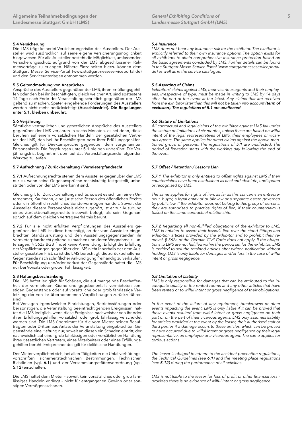Die LMS trägt keinerlei Versicherungsrisiko des Ausstellers. Der Aussteller wird ausdrücklich auf seine eigene Versicherungsmöglichkeit hingewiesen. Für alle Aussteller besteht die Möglichkeit, umfassenden Versicherungsschutz aufgrund von der LMS abgeschlossener Rahmenverträge zu erlangen. Nähere Einzelheiten hierzu können dem Stuttgart Messe Service-Portal (www.stuttgartmesseserviceportal.de) und den Serviceunterlagen entnommen werden.

# **5.5 Geltendmachung von Ansprüchen**

Ansprüche des Ausstellers gegenüber der LMS, ihren Erfüllungsgehilfen oder den bei ihr Beschäftigten, gleich welcher Art, sind spätestens 14 Tage nach Ende der Veranstaltung schriftlich gegenüber der LMS geltend zu machen. Später eingehende Forderungen des Ausstellers werden nicht mehr berücksichtigt **(Ausschlussfrist). Die Regelungen unter 5.1. bleiben unberührt**.

#### **5.6 Verjährung**

Sämtliche vertraglichen und gesetzlichen Ansprüche des Ausstellers gegenüber der LMS verjähren in sechs Monaten, es sei denn, diese beruhen auf einem vorsätzlichen Handeln der gesetzlichen Vertreter der LMS, den bei ihr Beschäftigten oder ihrer Erfüllungsgehilfen. Gleiches gilt für Direktansprüche gegenüber dem vorgenannten Personenkreis. Die Regelungen unter **5.1** bleiben unberührt. Die Verjährungsfrist beginnt mit dem auf das Veranstaltungsende folgenden Werktag zu laufen.

#### **5.7 Aufrechnung / Zurückbehaltung / Vermieterpfandrecht**

**5.7.1** Aufrechnungsrechte stehen dem Aussteller gegenüber der LMS nur zu, wenn seine Gegenansprüche rechtskräftig festgestellt, unbestritten oder von der LMS anerkannt sind.

Gleiches gilt für Zurückbehaltungsrechte, soweit es sich um einen Unternehmer, Kaufmann, eine juristische Person des öffentlichen Rechts oder ein öffentlich-rechtliches Sondervermögen handelt. Soweit der Aussteller diesem Personenkreis nicht zugehört, ist er zur Ausübung eines Zurückbehaltungsrechts insoweit befugt, als sein Gegenanspruch auf dem gleichen Vertragsverhältnis beruht.

**5.7.2** Für alle nicht erfüllten Verpflichtungen des Ausstellers gegenüber der LMS ist diese berechtigt, an der vom Aussteller eingebrachten Standausrüstung und den Ausstellungsgegenständen ihr Vermieterpfandrecht geltend zu machen und deren Wegnahme zu untersagen. § 562a BGB findet keine Anwendung. Erfolgt die Erfüllung der Verpflichtungen gegenüber der LMS nicht innerhalb der dem Aussteller gesetzten Frist, so ist die LMS berechtigt, die zurückbehaltenen Gegenstände nach schriftlicher Ankündigung freihändig zu verkaufen. Für Beschädigung und/oder Verlust der Gegenstände haftet die LMS nur bei Vorsatz oder grober Fahrlässigkeit.

#### **5.8 Haftungsbeschränkung**

Die LMS haftet lediglich für Schäden, die auf mangelnde Beschaffenheit der vermieteten Räume und gegebenenfalls vermieteten sonstigen Gegenstände oder auf vorsätzliche oder grob fahrlässige Verletzung der von ihr übernommenen Verpflichtungen zurückzuführen sind.

Bei Versagen irgendwelcher Einrichtungen, Betriebsstörungen oder bei sonstigen, die Veranstaltung beeinträchtigenden Ereignissen, haftet die LMS lediglich, wenn diese Ereignisse nachweisbar von ihr oder ihren Erfüllungsgehilfen vorsätzlich oder grob fahrlässig verschuldet worden sind. Die LMS übernimmt für die vom Mieter, seinen Beauftragten oder Dritten aus Anlass der Veranstaltung eingebrachten Gegenstände eine Haftung nur, soweit an diesen ein Schaden eintritt, der nachweislich auf einer grob fahrlässigen oder vorsätzlichen Handlung ihres gesetzlichen Vertreters, eines Mitarbeiters oder eines Erfüllungsgehilfen beruht. Entsprechendes gilt für deliktische Handlungen.

Der Mieter verpflichtet sich, bei allen Tätigkeiten die Unfallverhütungsvorschriften, sicherheitstechnischen Bestimmungen, Technischen Richtlinien (vgl. **6.1**) und der Versammlungsstättenverordnung (vgl. **5.12**) einzuhalten.

Die LMS haftet dem Mieter – soweit kein vorsätzliches oder grob fahrlässiges Handeln vorliegt - nicht für entgangenen Gewinn oder sonstigen Vermögensschaden.

#### *5.4 Insurance*

*LMS does not bear any insurance risk for the exhibitor. The exhibitor is explicitly referred to their own insurance options. The option exists for all exhibitors to attain comprehensive insurance protection based on the basic agreements concluded by LMS. Further details can be found in the Stuttgart Messe Service Portal (www.stuttgartmesseserviceportal. de) as well as in the service catalogue.*

## *5.5 Asserting of Claims*

*Exhibitors' claims against LMS, their vicarious agents and their employees, irrespective of type, must be made in writing to LMS by 14 days after the end of the event at the latest. Any claims that are received from the exhibitor later than this will not be taken into account (term of exclusion). The regulations of 5.1 are unaffected.*

#### *5.6 Statute of Limitations*

*All contractual and legal claims of the exhibitor against LMS fall under the statute of limitations of six months, unless these are based on wilful intent of the legal representatives of LMS, their employees or vicarious agents. The same applies for direct claims against the above-mentioned group of persons. The regulations of 5.1 are unaffected. The period of limitation starts with the working day following the end of the event.*

# *5.7 Offset / Retention / Lessor's Lien*

*5.7.1 The exhibitor is only entitled to offset rights against LMS if their counterclaims have been established as final and absolute, undisputed or recognised by LMS.*

*The same applies for rights of lien, as far as this concerns an entrepreneur, buyer, a legal entity of public law or a separate estate governed by public law. If the exhibitor does not belong to this group of persons, they are authorised to practice rights of lien, if their counterclaim is based on the same contractual relationship.*

*5.7.2 Regarding all non-fulfilled obligations of the exhibitor to LMS, LMS is entitled to assert their lessor's lien over the stand fittings and exhibition articles provided by the exhibitor and to prohibit their removal. § 562a of the German Civil Code does not apply. If the obligations to LMS are not fulfilled within the period set for the exhibitor, LMS is entitled to sell the retained articles after written notification without holding. LMS is only liable for damages and/or loss in the case of wilful intent or gross negligence.* 

#### *5.8 Limitation of Liability*

*LMS is only responsible for damages that can be attributed to the inadequate quality of the rented rooms and any other articles that have been rented or to wilful intent or gross negligence of their obligations.*

In the event of the failure of any equipment, breakdowns or other events impacting the event, LMS is only liable if it can be proved that *these events resulted from wilful intent or gross negligence on their part or on the part of their vicarious agents. LMS only assumes liability for articles provided at the event by the leaser, their authorised staff or third parties if a damage occurs to these articles, which can be proved to have occurred due to wilful intent or gross negligence by their legal representative, an employee or a vicarious agent. The same applies for tortious actions.* 

*The leaser is obliged to adhere to the accident prevention regulations, the Technical Guidelines (see 6.1) and the meeting place regulations (see 5.12) during the performance of all activities.* 

*LMS is not liable to the leaser for loss of profit or other financial loss – provided there is no evidence of wilful intent or gross negligence.*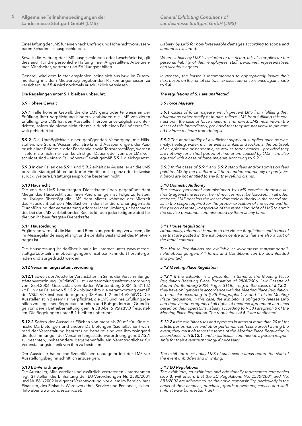Eine Haftung der LMS für einen nach Umfang und Höhe nicht voraussehbaren Schaden ist ausgeschlossen.

Soweit die Haftung der LMS ausgeschlossen oder beschränkt ist, gilt dies auch für die persönliche Haftung ihrer Angestellten, Arbeitnehmer, Mitarbeiter, Vertreter und Erfüllungsgehilfen.

Generell wird dem Mieter empfohlen, seine sich aus bzw. im Zusammenhang mit dem Mietvertrag ergebenden Risiken angemessen zu versichern. Auf **5.4** wird nochmals ausdrücklich verwiesen.

#### **Die Regelungen unter 5.1 bleiben unberührt.**

## **5.9 Höhere Gewalt**

**5.9.1** Fälle höherer Gewalt, die die LMS ganz oder teilweise an der Erfüllung ihrer Verpflichtung hindern, entbinden die LMS von deren Erfüllung. Die LMS hat den Aussteller hiervon unverzüglich zu unterrichten, sofern sie hieran nicht ebenfalls durch einen Fall höherer Gewalt gehindert ist.

**5.9.2** Die Unmöglichkeit einer genügenden Versorgung mit Hilfsstoffen, wie Strom, Wasser, etc., Streiks und Aussperrungen, der Ausbruch einer Epidemie oder Pandemie sowie Terroranschläge, werden – sofern sie nicht nur von kurzfristiger Dauer oder von der LMS verschuldet sind – einem Fall höherer Gewalt gemäß **5.9.1** gleichgesetzt.

**5.9.3** In den Fällen des **5.9.1** und **5.9.2** erhält der Aussteller an die LMS bezahlte Standgebühren und/oder Eintrittspreise ganz oder teilweise zurück. Weitere Erstattungsansprüche bestehen nicht.

# **5.10 Hausrecht**

Die von der LMS beauftragten Dienstkräfte üben gegenüber dem Mieter das Hausrecht aus. Ihren Anordnungen ist Folge zu leisten. Im Übrigen überträgt die LMS dem Mieter während der Mietzeit das Hausrecht auf den Mietflächen in dem für die ordnungsgemäße Durchführung der Veranstaltung erforderlichen Umfang, unbeschadet des bei der LMS verbleibenden Rechts für den jederzeitigen Zutritt für die von ihr beauftragten Dienstkräfte.

#### **5.11 Hausordnung**

Ergänzend wird auf die Haus- und Benutzungsordnung verwiesen, die im Messegelände ausgehängt und ebenfalls Bestandteil des Mietvertrages ist.

Die Hausordnung ist darüber hinaus im Internet unter www.messestuttgart.de/teilnahmebedingungen einsehbar, kann dort heruntergeladen und ausgedruckt werden.

#### **5.12 Versammlungsstättenverordnung**

**5.12.1** Soweit der Aussteller Veranstalter im Sinne der Versammlungsstättenverordnung (VStättVO) ist (Versammlungsstättenverordnung vom 28.4.2006, Gesetzblatt von Baden-Württemberg 2004, S. 311ff.) – z.B. in den Fällen von **5.12.2** – obliegt ihm die Verantwortung gemäß der VStättVO, insbesondere gem. § 38 Abs. 1, 2 und 4 VStättVO. Der Aussteller ist in diesem Fall verpflichtet, die LMS und ihre Erfüllungsgehilfen von jeglichen Regressansprüchen und Bußgeldern auf Grundlage von deren Betreiberhaftung gem. § 38 Abs. 5 VStättVO freizustellen. Die Regelungen unter **5.1** bleiben unberührt.

**5.12.2** Sofern der Aussteller Flächen von mehr als 20 m² für künstlerische Darbietungen und andere Darbietungen (Szeneflächen) während der Veranstaltung benutzt und betreibt, sind von ihm zwingend die Bestimmungen der Versammlungsstättenverordnung gem. **5.12.1** zu beachten, insbesondere gegebenenfalls ein Verantwortlicher für Veranstaltungstechnik von ihm zu bestellen.

Der Aussteller hat solche Szeneflächen unaufgefordert der LMS vor Ausstellungsbeginn schriftlich anzuzeigen.

## **5.13 EU-Verordnungen**

Die Aussteller, Mitaussteller und zusätzlich vertretenen Unternehmen (vgl. **3**) stellen die Einhaltung der EU-Verordnungen Nr. 2580/2001 und Nr. 881/2002 in eigener Verantwortung, vor allem im Bereich ihrer Finanzen, des Einkaufs, Warenverkehrs, Service und Personals, sicher. (Info über www.bundesbank.de).

*Liability by LMS for non-foreseeable damages according to scope and amount is excluded.* 

*Where liability by LMS is excluded or restricted, this also applies for the personal liability of their employees, staff, personnel, representatives and vicarious agents.* 

*In general, the leaser is recommended to appropriately insure their risks based on the rental contract. Explicit reference is once again made to 5.4.*

#### *The regulations of 5.1 are unaffected*

#### *5.9 Force Majeure*

*5.9.1 Cases of force majeure, which prevent LMS from fulfilling their obligations either totally or in part, relieve LMS from fulfilling this contract until the case of force majeure is removed. LMS must inform the leaser of this immediately, provided that they are not likewise prevented by force majeure from doing so.* 

*5.9.2 The impossibility of a sufficient supply of supplies, such as electricity, heating, water, etc., as well as strikes and lockouts, the outbreak of an epidemic or pandemic, as well as terror attacks – provided they are not only for a short period of time or are caused by LMS – are also equated with a case of force majeure according to 5.9.1.*

*5.9.3 In the cases of 5.9.1 and 5.9.2 stand fees and/or admission fees paid to LMS by the exhibitor will be refunded completely or partly. Exhibitors are not entitled to any further refund claims.*

## *5.10 Domestic Authority*

*The service personnel commissioned by LMS exercise domestic authority against the leaser. Their directives must be followed. In all other respects, LMS transfers the leaser domestic authority in the rented areas in the scope required for the proper execution of the event and for the period of rental, irrespective of the remaining right of LMS to admit the service personnel commissioned by them at any time.*

# *5.11 House Regulations*

*Additionally, reference is made to the House Regulations and terms of use that are posted in the exhibition centre and that are also a part of the rental contract.* 

*The House Regulations are available at www.messe-stuttgart.de/teilnahmebedingungen. All Terms and Conditions can be downloaded and printed.* 

#### *5.12 Meeting Place Regulation*

*5.12.1 If the exhibitor is a presenter in terms of the Meeting Place Regulation (Meeting Place Regulation of 28/4/2006, Law Gazette of Baden-Württemberg 2004, Pages 311ff.) - e.g. in the cases of 5.12.2 – they have obligations in accordance with the Meeting Place Regulation, in particular according to § 38 Paragraphs 1, 2 and 4 of the Meeting Place Regulation. In this case, the exhibitor is obliged to release LMS and their vicarious agents of all rights of recourse agreement and fines based on their operator's liability according to § 38 Paragraph 5 of the Meeting Place Regulation. The regulations of 5.1 are unaffected.*

*5.12.2 If the exhibitor uses and operates in areas of more than 20 m² for artistic performances and other performances (scene areas) during the event, they must observe the terms of the Meeting Place Regulation in accordance with 5.12.1, and in particular, commission a person responsible for their event technology if necessary.* 

*The exhibitor must notify LMS of such scene areas before the start of the event unbidden and in writing.* 

## *5.13 EU Regulations*

*The exhibitors, co-exhibitors and additionally represented companies (see 3) will ensure that the EU Regulations No. 2580/2001 and No. 881/2002 are adhered to, on their own responsibility, particularly in the areas of their finances, purchase, goods movement, service and staff. (Info at www.bundesbank.de).*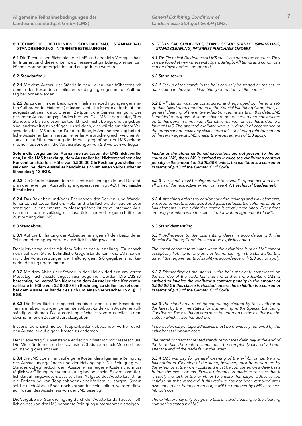## **6. TECHNISCHE RICHTLINIEN, STANDAUFBAU, STANDABBAU, STANDREINIGUNG, INTERNETBESTELLUNGEN**

**6.1** Die Technischen Richtlinien der LMS sind ebenfalls Vertragsinhalt. Im Internet sind diese unter www.messe-stuttgart.de/agb einsehbar, können dort heruntergeladen und ausgedruckt werden.

# **6.2. Standaufbau**

**6.2.1** Mit dem Aufbau der Stände in den Hallen kann frühestens mit dem in den Besonderen Teilnahmebedingungen genannten Aufbautag begonnen werden.

**6.2.2** Bis zu dem in den Besonderen Teilnahmebedingungen genannten Aufbau-Ende (Fixtermin) müssen sämtliche Stände aufgebaut und ausgestattet sein, da zu diesem Zeitpunkt die Generalreinigung des gesamten Ausstellungsgeländes beginnt. Die LMS ist berechtigt, über Stände, die bis zu diesem Zeitpunkt noch nicht belegt und aufgebaut sind, anderweitig zu verfügen, es sei denn, dies würde auf einem Verschulden der LMS beruhen. Der betroffene, in Annahmeverzug befindliche Aussteller kann hieraus keinerlei Ansprüche gleich welcher Art – auch nicht Rückerstattung der Miete – gegenüber der LMS geltend machen, es sei denn, die Voraussetzungen von **5.3** würden vorliegen.

**Sofern die vorgenannten Ausnahmen zu Lasten der LMS nicht vorliegen, ist die LMS berechtigt, dem Aussteller bei Nichterscheinen eine Konventionalstrafe in Höhe von 5.500,00 € in Rechnung zu stellen, es sei denn, bei dem Aussteller handelt es sich um einen Verbraucher im Sinne des § 13 BGB.**

**6.2.3** Die Stände müssen dem Gesamterscheinungsbild und Gesamtplan der jeweiligen Ausstellung angepasst sein (vgl. **4.7.1 Technische Richtlinien**).

**6.2.4** Das Bekleben und/oder Bespannen der Decken- und Wandelemente, Sichtbetonflächen, Holz- und Glasflächen, der Säulen oder sonstiger Hallenelemente im Messegelände ist strikt untersagt. Ausnahmen sind nur zulässig mit ausdrücklicher vorheriger schriftlicher Zustimmung der LMS.

#### **6.3 Standabbau**

**6.3.1** Auf die Einhaltung der Abbautermine gemäß den Besonderen Teilnahmebedingungen wird ausdrücklich hingewiesen.

Der Mietvertrag endet mit dem Schluss der Ausstellung. Für danach noch auf dem Stand befindliche Gegenstände kann die LMS, sofern nicht die Voraussetzungen der Haftung gem. **5.8** gegeben sind, keinerlei Haftung übernehmen.

**6.3.2** Mit dem Abbau der Stände in den Hallen darf erst am letzten Messetag nach Ausstellungsschluss begonnen werden. **Die LMS ist berechtigt, bei Verstößen hiergegen dem Aussteller eine Konventionalstrafe in Höhe von 5.500,00 € in Rechnung zu stellen, es sei denn, bei dem Aussteller handelt es sich um einen Verbraucher i.S.d. § 13 BGB.**

**6.3.3** Die Standfläche ist spätestens bis zu dem in den Besonderen Teilnahmebedingungen genannten Abbau-Ende vom Aussteller vollständig zu räumen. Die Ausstellungsfläche ist vom Aussteller in dem übernommenen Zustand zurückzugeben.

Insbesondere sind hierbei Teppichbodenklebebänder vorher durch den Aussteller auf eigene Kosten zu entfernen.

Der Mietvertrag für Mietstände endet grundsätzlich mit Messeschluss. Die Mietstände müssen bis spätestens 3 Stunden nach Messeschluss vollständig geräumt sein.

**6.3.4** Die LMS übernimmt auf eigene Kosten die allgemeine Reinigung des Ausstellungsgeländes und der Hallengänge. Die Reinigung des Standes obliegt jedoch dem Aussteller auf eigene Kosten und muss täglich vor Öffnung der Veranstaltung beendet sein. Es wird ausdrücklich darauf hingewiesen, dass es allein Aufgabe des Ausstellers ist, für die Entfernung von Teppichbodenklebebändern zu sorgen. Sofern solche nach Abbau-Ende noch vorhanden sein sollten, werden diese auf Kosten des Ausstellers von der LMS beseitigt.

Die Vergabe der Standreinigung durch den Aussteller darf ausschließlich an das von der LMS benannte Reinigungsunternehmen erfolgen.

#### *6. TECHNICAL GUIDELINES, STAND SET-UP, STAND DISMANTLING, STAND CLEANING, INTERNET PURCHASE ORDERS*

*6.1 The Technical Guidelines of LMS are also a part of the contract. They can be found at www.messe-stuttgart.de/agb. All terms and conditions can be downloaded and printed.*

#### *6.2 Stand set-up*

*6.2.1 Set-up of the stands in the halls can only be started on the set-up date stated in the Special Exhibiting Conditions at the earliest.*

*6.2.2 All stands must be constructed and equipped by the end setup date (fixed date) mentioned in the Special Exhibiting Conditions, as general cleaning of the entire exhibition centre starts on this date. LMS is entitled to dispose of stands that are not occupied and constructed up to this point in time in an alternative manner, unless this is due to a fault of LMS. The affected exhibitor who is in default of acceptance of the terms cannot make any claims from this – including reimbursement of the rent – against LMS, unless the requirements of 5.3 apply.*

*Insofar as the aforementioned exceptions are not present to the account of LMS, then LMS is entitled to invoice the exhibitor a contract penalty in the amount of 5,500.00* **€** *unless the exhibitor is a consumer in terms of § 13 of the German Civil Code.*

*6.2.3 The stands must be aligned with the overall appearance and overall plan of the respective exhibition (see 4.7.1 Technical Guidelines).* 

*6.2.4 Attaching articles to and/or covering ceilings and wall elements, exposed concrete areas, wood and glass surfaces, the columns or other hall elements in the exhibition centre is strictly prohibited. Exceptions are only permitted with the explicit prior written agreement of LMS.*

#### *6.3 Stand dismantling*

*6.3.1 Adherence to the dismantling dates in accordance with the Special Exhibiting Conditions must be explicitly noted.*

*The rental contract terminates when the exhibition is over. LMS cannot accept any liability for any articles left remaining in the stand after this date, if the requirements of liability in accordance with 5.8 do not apply.*

*6.3.2 Dismantling of the stands in the halls may only commence on the last day of the trade fair after the end of the exhibition. LMS is entitled to invoice the exhibitor a contract penalty in the amount of 5,500.00* **€** *if this clause is violated, unless the exhibitor is a consumer in terms of § 13 of the German Civil Code.*

*6.3.3 The stand area must be completely cleared by the exhibitor at the latest by the time stated for dismantling in the Special Exhibiting Conditions. The exhibition area must be returned by the exhibitor in the state in which it was handed over.*

*In particular, carpet tape adhesives must be previously removed by the exhibitor at their own costs.* 

*The rental contract for rented stands terminates definitely at the end of the trade fair. The rented stands must be completely cleared 3 hours after the end of the trade fair at the latest.*

*6.3.4 LMS will pay for general cleaning of the exhibition centre and hall corridors. Cleaning of the stand, however, must be performed by the exhibitor at their own costs and must be completed on a daily basis before the event opens. Explicit reference is made to the fact that it is solely the task of the exhibitor to ensure that carpet adhesive tap residue must be removed. If this residue has not been removed after dismantling has been carried out, it will be removed by LMS at the exhibitor's cost.*

*The exhibitor may only assign the task of stand cleaning to the cleaning companies stated by LMS.*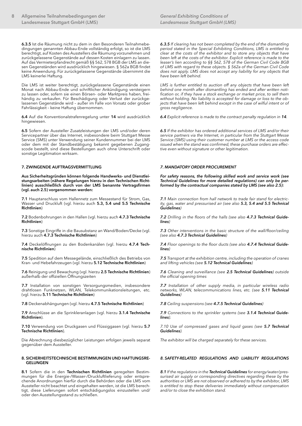**6.3.5** Ist die Räumung nicht zu dem in den Besonderen Teilnahmebedingungen genannten Abbau-Ende vollständig erfolgt, so ist die LMS berechtigt, auf Kosten des Ausstellers die Räumung vorzunehmen und zurückgelassene Gegenstände auf dessen Kosten einlagern zu lassen. Auf das Vermieterpfandrecht gemäß §§ 562, 578 BGB der LMS an diesen Gegenständen wird ausdrücklich hingewiesen. § 562a BGB findet keine Anwendung. Für zurückgelassene Gegenstände übernimmt die LMS keinerlei Haftung.

Die LMS ist weiter berechtigt, zurückgelassene Gegenstände einen Monat nach Abbau-Ende und schriftlicher Ankündigung versteigern zu lassen oder, sofern sie einen Börsen- oder Marktpreis haben, freihändig zu verkaufen. Für Beschädigung oder Verlust der zurückgelassenen Gegenstände wird – außer im Falle von Vorsatz oder grober Fahrlässigkeit – keine Haftung übernommen.

**6.4** Auf die Konventionalstrafenregelung unter **14** wird ausdrücklich hingewiesen.

**6.5** Sofern der Aussteller Zusatzleistungen der LMS und/oder deren Servicepartner über das Internet, insbesondere beim Stuttgart Messe Service (SMS) unter Verwendung seiner Kundennummer bei der LMS oder dem mit der Standbestätigung bekannt gegebenen Zugangscode bestellt, sind diese Bestellungen auch ohne Unterschrift oder sonstige Legitimation wirksam.

#### **7. ZWINGENDE AUFTRAGSVERMITTLUNG**

**Aus Sicherheitsgründen können folgende Handwerks- und Dienstleistungsarbeiten (nähere Regelungen hierzu in den Technischen Richtlinien) ausschließlich durch von der LMS benannte Vertragsfirmen (vgl. auch 2.5) vorgenommen werden:**

**7.1** Hauptanschluss vom Hallennetz zum Messestand für Strom, Gas, Wasser und Druckluft (vgl. hierzu auch **5.3, 5.4 und 5.5 Technische Richtlinien**)

**7.2** Bodenbohrungen in den Hallen (vgl. hierzu auch **4.7.3 Technische Richtlinien**)

**7.3** Sonstige Eingriffe in die Bausubstanz an Wand/Boden/Decke (vgl. hierzu auch **4.7.3 Technische Richtlinien**)

**7.4** Deckelöffnungen zu den Bodenkanälen (vgl. hierzu **4.7.4 Technische Richtlinien**)

**7.5** Spedition auf dem Messegelände, einschließlich des Betriebs von Kran- und Hebefahrzeugen (vgl. hierzu **5.12 Technische Richtlinien**)

**7.6** Reinigung und Bewachung (vgl. hierzu **2.5 Technische Richtlinien**) außerhalb der offiziellen Öffnungszeiten

**7.7** Installation von sonstigen Versorgungsmedien, insbesondere drahtlosen Funknetzen, WLAN, Telekommunikationsleitungen, etc. (vgl. hierzu **5.11 Technische Richtlinien**)

**7.8** Deckenabhängungen (vgl. hierzu **4.7.5 Technische Richtlinien**)

**7.9** Anschlüsse an die Sprinkleranlagen (vgl. hierzu **3.1.4 Technische Richtlinien**).

**7.10** Verwendung von Druckgasen und Flüssiggasen (vgl. hierzu **5.7 Technische Richtlinien**).

Die Abrechnung diesbezüglicher Leistungen erfolgen jeweils separat gegenüber dem Aussteller.

#### **8. SICHERHEITSTECHNISCHE BESTIMMUNGEN UND HAFTUNGSRE-GELUNGEN**

**8.1** Sofern die in den **Technischen Richtlinien** geregelten Bestimmungen für die Energie-/Wasser-/Druckluftlieferung oder entsprechende Anordnungen hierfür durch die Behörden oder die LMS vom Aussteller nicht beachtet und eingehalten werden, ist die LMS berechtigt, diese Lieferungen sofort entschädigungslos einzustellen und/ oder den Ausstellungsstand zu schließen.

*6.3.5 If clearing has not been completed by the end of the dismantling period stated in the Special Exhibiting Conditions, LMS is entitled to clear at the costs of the exhibitor and to store any objects that have been left at the costs of the exhibitor. Explicit reference is made to the leaser's lien according to §§ 562, 578 of the German Civil Code BGB of LMS with regard to these objects. § 562a of the German Civil Code does not apply. LMS does not accept any liability for any objects that have been left behind.*

*LMS is further entitled to auction off any objects that have been left behind one month after dismantling has ended and after written notification or, if they have a stock exchange or market price, to sell them without holding. No liability is accepted for damage or loss to the objects that have been left behind except in the case of wilful intent or of gross negligence.*

*6.4 Explicit reference is made to the contract penalty regulation in 14.*

*6.5 If the exhibitor has ordered additional services of LMS and/or their service partners via the Internet, in particular from the Stuttgart Messe Service (SMS) using their customer number at LMS or the access code issued when the stand was confirmed, these purchase orders are effective even without signature or other legitimation.*

## *7. MANDATORY ORDER PROCUREMENT*

*For safety reasons, the following skilled work and service work (see Technical Guidelines for more detailed regulations) can only be performed by the contractual companies stated by LMS (see also 2.5):*

*7.1 Main connection from hall network to trade fair stand for electricity, gas, water and pressurised air (see also 5.3, 5.4 and 5.5 Technical Guidelines)*

*7.2 Drilling in the floors of the halls (see also 4.7.3 Technical Guidelines)*

*7.3 Other interventions in the basic structure of the wall/floor/ceiling (see also 4.7.3 Technical Guidelines)*

*7.4 Floor openings to the floor ducts (see also 4.7.4 Technical Guidelines)*

*7.5 Transport at the exhibition centre, including the operation of cranes and lifting vehicles (see 5.12 Technical Guidelines)*

*7.6 Cleaning and surveillance (see 2.5 Technical Guidelines) outside the official opening times*

*7.7 Installation of other supply media, in particular wireless radio networks, WLAN, telecommunications lines, etc. (see 5.11 Technical Guidelines)*

*7.8 Ceiling suspensions (see 4.7.5 Technical Guidelines)*

*7.9 Connections to the sprinkler systems (see 3.1.4 Technical Guidelines).*

*7.10 Use of compressed gases and liquid gases (see 5.7 Technical Guidelines).*

*The exhibitor will be charged separately for these services.* 

# *8. SAFETY-RELATED REGULATIONS AND LIABILITY REGULATIONS*

*8.1 If the regulations in the Technical Guidelines for energy/water/pressurised air supply or corresponding directives regarding these by the authorities or LMS are not observed or adhered to by the exhibitor, LMS is entitled to stop these deliveries immediately without compensation and/or to close the exhibition stand.*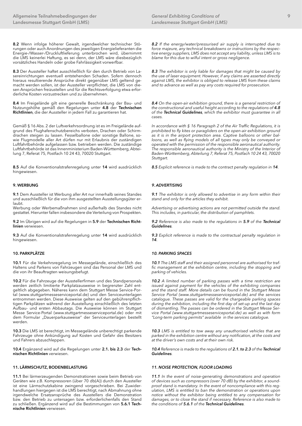**8.2** Wenn infolge höherer Gewalt, irgendwelcher technischer Störungen oder auch Anordnungen des jeweiligen Energielieferanten die Energie-/Wasser-/Druckluftlieferung unterbrochen wird, übernimmt die LMS keinerlei Haftung, es sei denn, der LMS wäre diesbezüglich vorsätzliches Handeln oder grobe Fahrlässigkeit vorwerfbar.

**8.3** Der Aussteller haftet ausschließlich für den durch Betrieb von Lasereinrichtungen eventuell entstehenden Schaden. Sofern dennoch hieraus resultierende Ansprüche direkt gegenüber LMS geltend gemacht werden sollen, ist der Aussteller verpflichtet, die LMS von diesen Ansprüchen freizustellen und für die Rechtsverfolgung etwa erforderliche Kosten vorzustrecken und zu übernehmen.

**8.4** Im Freigelände gilt eine generelle Beschränkung der Bau- und Nutzungshöhe gemäß den Regelungen unter **4.8** der **Technischen Richtlinien**, die der Aussteller in jedem Fall zu garantieren hat.

Gemäß § 16 Abs. 2 der Luftverkehrsordnung ist es im Freigelände aufgrund des Flughafenschutzbereichs verboten, Drachen oder Schirmdrachen steigen zu lassen. Fesselballone oder sonstige Ballone, sowie Flugmodelle aller Art dürfen nur mit Erlaubnis der zuständigen Luftfahrtbehörde aufgelassen bzw. betrieben werden. Die zuständige Luftfahrtbehörde ist das Innenministerium Baden-Württemberg, Abteilung 7, Referat 75, Postfach 10 24 43, 70020 Stuttgart.

**8.5** Auf die Konventionalstrafenregelung unter **14** wird ausdrücklich hingewiesen.

# **9. WERBUNG**

**9.1** Dem Aussteller ist Werbung aller Art nur innerhalb seines Standes und ausschließlich für die von ihm ausgestellten Ausstellungsgüter erlaubt.

Werbung oder Werbemaßnahmen sind außerhalb des Standes nicht gestattet. Hierunter fallen insbesondere die Verteilung von Prospekten.

**9.2** Im Übrigen wird auf die Regelungen in **5.9** der **Technischen Richtlinien** verwiesen.

**9.3** Auf die Konventionalstrafenregelung unter **14** wird ausdrücklich hingewiesen.

# **10. PARKPLÄTZE**

**10.1** Für die Verkehrsregelung im Messegelände, einschließlich des Haltens und Parkens von Fahrzeugen sind das Personal der LMS und die von ihr Beauftragten weisungsbefugt.

**10.2** Für die Fahrzeuge der Ausstellerfirmen und des Standpersonals werden zeitlich limitierte Parkplatzausweise in begrenzter Zahl entgeltlich abgegeben. Näheres kann dem Stuttgart Messe Service-Portal (www.stuttgartmesseserviceportal.de) und den Serviceunterlagen entnommen werden. Diese Ausweise gelten auf den gebührenpflichtigen Parkplätzen während der Ausstellung einschließlich des letzten Aufbau- und ersten Abbautags. Die Ausweise können im Stuttgart Messe Service-Portal (www.stuttgartmesseserviceportal.de) oder mit dem Formular "Dauerparkausweise" der Serviceunterlagen bestellt werden.

**10.3** Die LMS ist berechtigt, im Messegelände unberechtigt parkende Fahrzeuge ohne Ankündigung auf Kosten und Gefahr des Besitzers und Fahrers abzuschleppen.

**10.4** Ergänzend wird auf die Regelungen unter **2.1. bis 2.3** der **Technischen Richtlinien** verwiesen.

# **11. LÄRMSCHUTZ, BODENBELASTUNG**

**11.1** Bei lärmerzeugenden Demonstrationen sowie beim Betrieb von Geräten wie z.B. Kompressoren (über 70 db(A)) durch den Aussteller ist eine Lärmschutzkabine zwingend vorgeschrieben. Bei Zuwiderhandlungen hiergegen ist die LMS berechtigt, nach Abmahnung ohne irgendwelche Ersatzansprüche des Ausstellers die Demonstration bzw. den Betrieb zu untersagen bzw. erforderlichenfalls den Stand zu schließen. Ergänzend wird auf die Bestimmungen von **5.6.1 Technische Richtlinien** verwiesen.

*8.2 If the energy/water/pressurised air supply is interrupted due to force majeure, any technical breakdowns or instructions by the respective energy suppliers, LMS does not accept any liability, unless LMS is to blame for this due to wilful intent or gross negligence.*

*8.3 The exhibitor is only liable for damages that might be caused by the use of laser equipment. However, if any claims are asserted directly against LMS, the exhibitor is obliged to release LMS from these claims and to advance as well as pay any costs required for prosecution.*

*8.4 On the open-air exhibition ground, there is a general restriction of the constructional and useful height according to the regulations of 4.8 of the Technical Guidelines, which the exhibitor must guarantee in all cases.* 

*In accordance with § 16 Paragraph 2 of the Air Traffic Regulations, it is prohibited to fly kites or paragliders on the open-air exhibition ground as it is in the airport protection area. Captive balloons or other balloons, as well as flying models of all types may only be conveyed or operated with the permission of the responsible aeronautical authority. The responsible aeronautical authority is the Ministry of the Interior of Baden-Württemberg, Abteilung 7, Referat 75, Postfach 10 24 43, 70020 Stuttgart.* 

*8.5 Explicit reference is made to the contract penalty regulation in 14.*

# *9. ADVERTISING*

*9.1 The exhibitor is only allowed to advertise in any form within their stand and only for the articles they exhibit.* 

*Advertising or advertising actions are not permitted outside the stand. This includes, in particular, the distribution of pamphlets.* 

*9.2 Reference is also made to the regulations in 5.9 of the Technical Guidelines.* 

*9.3 Explicit reference is made to the contractual penalty regulation in 14.* 

## *10. PARKING SPACES*

*10.1 The LMS staff and their assigned personnel are authorised for traffic management at the exhibition centre, including the stopping and parking of vehicles.*

*10.2 A limited number of parking passes with a time restriction are issued against payment for the vehicles of the exhibiting companies and the stand staff. More details can be found in the Stuttgart Messe Service Portal (www.stuttgartmesseserviceportal.de) and the services catalogue. These passes are valid for the chargeable parking spaces during the exhibition, including the first day of set-up and the last day of dismantling. The passes can be ordered in the Stuttgart Messe Service Portal (www.stuttgartmesseserviceportal.de) as well as with form "Long-term parking permits" available in the services catalogue.* 

*10.3 LMS is entitled to tow away any unauthorised vehicles that are parked in the exhibition centre without any notification, at the costs and at the driver's own costs and at their own risk.*

*10.4 Reference is made to the regulations of 2.1. to 2.3 of the Technical Guidelines.*

#### *11. NOISE PROTECTION, FLOOR LOADING*

*11.1 In the event of noise-generating demonstrations and operation of devices such as compressors (over 70 dB) by the exhibitor, a soundproof stand is mandatory. In the event of noncompliance with this regulation, LMS is entitled to ban the demonstration or operations upon notice without the exhibitor being entitled to any compensation for damages, or to close the stand if necessary. Reference is also made to the conditions of 5.6.1 of the Technical Guidelines.*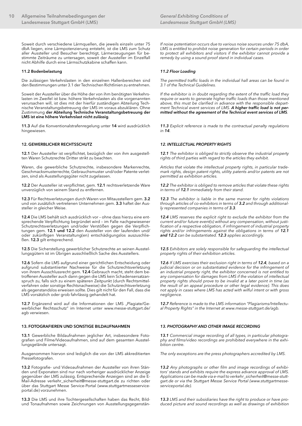Soweit durch verschiedene Lärmquellen, die jeweils einzeln unter 75 dbA liegen, eine Lärmpotenzierung entsteht, ist die LMS zum Schutz aller Aussteller und Besucher berechtigt, Lärmerzeugungen für bestimmte Zeiträume zu untersagen, soweit der Aussteller im Einzelfall nicht Abhilfe durch eine Lärmschutzkabine schaffen kann.

## **11.2 Bodenbelastung**

Die zulässigen Verkehrslasten in den einzelnen Hallenbereichen sind den Bestimmungen unter 3.1 der Technischen Richtlinien zu entnehmen.

Soweit der Aussteller über die Höhe der von ihm benötigten Verkehrslasten im Zweifel ist bzw. höhere Verkehrslasten als die vorgenannten verursachen will, ist dies mit der hierfür zuständigen Abteilung Technische Veranstaltungsbetreuung der LMS im voraus abzuklären. Ohne Zustimmung **der Abteilung Technische Veranstaltungsbetreuung der LMS ist eine höhere Verkehrslast nicht zulässig**.

**11.3** Auf die Konventionalstrafenregelung unter **14** wird ausdrücklich hingewiesen.

## **12. GEWERBLICHER RECHTSSCHUTZ**

**12.1** Der Aussteller ist verpflichtet, bezüglich der von ihm ausgestellten Waren Schutzrechte Dritter strikt zu beachten.

Waren, die gewerbliche Schutzrechte, insbesondere Markenrechte, Geschmacksmusterrechte, Gebrauchsmuster und/oder Patente verletzen, sind als Ausstellungsgüter nicht zugelassen.

**12.2** Der Aussteller ist verpflichtet, gem. **12.1** rechtsverletzende Ware unverzüglich von seinem Stand zu entfernen.

**12.3** Für Rechtsverletzungen durch Waren von Mitausstellern gem. **3.2** und von zusätzlich vertretenen Unternehmen gem. **3.3** haftet der Aussteller in gleicher Weise.

**12.4** Die LMS behält sich ausdrücklich vor – ohne dass hierzu eine entsprechende Verpflichtung begründet wird – im Falle nachgewiesener Schutzrechtsverletzungen und/oder Verstößen gegen die Verpflichtungen gem. **12.1 und 12.2** den Aussteller von der laufenden und/ oder zukünftigen Veranstaltung(en) entschädigungslos auszuschließen. **12.3** gilt entsprechend.

**12.5** Die Sicherstellung gewerblicher Schutzrechte an seinen Ausstellungsgütern ist im Übrigen ausschließlich Sache des Ausstellers.

**12.6** Sofern die LMS aufgrund einer gerichtlichen Entscheidung oder aufgrund substantiierter Nachweise für die Schutzrechtsverletzung von ihrem Ausschlussrecht gem. **12.4** Gebrauch macht, steht dem betroffenen Aussteller auch dann gegen die LMS kein Schadensersatzanspruch zu, falls sich zu einem späteren Zeitpunkt (durch Rechtsmittelverfahren oder sonstige Rechtsnachweise) die Schutzrechtsverletzung als gegenstandslos erweisen sollte. Dies gilt nicht für den Fall, dass die LMS vorsätzlich oder grob fahrlässig gehandelt hat.

12.7 Ergänzend wird auf die Informationen der LMS "Plagiate/Gewerblicher Rechtsschutz" im Internet unter [www.messe-stuttgart.de/](http://www.messe-stuttgart.de/agb) [agb](http://www.messe-stuttgart.de/agb) verwiesen.

## **13. FOTOGRAFIEREN UND SONSTIGE BILDAUFNAHMEN**

**13.1** Gewerbliche Bildaufnahmen jeglicher Art, insbesondere Fotografien und Filme/Videoaufnahmen, sind auf dem gesamten Ausstellungsgelände untersagt.

Ausgenommen hiervon sind lediglich die von der LMS akkreditierten Pressefotografen.

**13.2** Fotografie- und Videoaufnahmen der Aussteller von ihren Ständen und Exponaten sind nur nach vorheriger ausdrücklicher Anzeige gegenüber der LMS zulässig. Entsprechende Anzeigen sind an die E-Mail-Adresse verkehr\_sicherheit@messe-stuttgart.de zu richten oder über das Stuttgart Messe Service-Portal ([www.stuttgartmesseservice](https://www.stuttgartmesseserviceportal.de)[portal.de\)](https://www.stuttgartmesseserviceportal.de) vorzunehmen.

**13.3** Die LMS und ihre Tochtergesellschaften haben das Recht, Bildund Tonaufnahmen sowie Zeichnungen von Ausstellungsgegenstän*If noise potentiation occurs due to various noise sources under 75 dbA,*  LMS is entitled to prohibit noise generation for certain periods in order *to protect all exhibitors and visitors if the exhibitor cannot provide a remedy by using a sound-proof stand in individual cases.* 

## *11.2 Floor Loading*

*The permitted traffic loads in the individual hall areas can be found in 3.1 of the Technical Guidelines.*

*If the exhibitor is in doubt regarding the extent of the traffic load they require or wants to generate higher traffic loads than those mentioned above, this must be clarified in advance with the responsible department Technical event services of LMS. A higher traffic load is not permitted without the agreement of the Technical event services of LMS.* 

*11.3 Explicit reference is made to the contractual penalty regulations in 14.* 

## *12. INTELLECTUAL PROPERTY RIGHTS*

*12.1 The exhibitor is obliged to strictly observe the industrial property rights of third parties with regard to the articles they exhibit.* 

*Articles that violate the intellectual property rights, in particular trademark rights, design patent rights, utility patents and/or patents are not permitted as exhibition articles.* 

*12.2 The exhibitor is obliged to remove articles that violate these rights in terms of 12.1 immediately from their stand.* 

*12.3 The exhibitor is liable in the same manner for rights violations through articles of co-exhibitors in terms of 3.2 and through additionally represented companies in terms of 3.3.* 

*12.4 LMS reserves the explicit right to exclude the exhibitor from the current and/or future event(s) without any compensation, without justification of a respective obligation, if infringement of industrial property rights and/or infringements against the obligations in terms of 12.1 and 12.2 can be substantiated. 12.3 applies accordingly.*

*12.5 Exhibitors are solely responsible for safeguarding the intellectual property rights of their exhibition articles.* 

*12.6 If LMS exercises their exclusion right in terms of 12.4, based on a judicial decision or on substantiated evidence for the infringement of an industrial property right, the exhibitor concerned is not entitled to any compensation for damages from LMS if the violation of intellectual property rights should prove to be invalid at a later point in time (as the result of an appeal procedure or other legal evidence). This does not apply in cases where LMS has acted with wilful intent or with gross negligence.* 

*12.7 Reference is made to the LMS information "Plagiarisms/Intellectual Property Rights" in the Internet a[t www.messe-stuttgart.de/agb.](http:// www.messe-stuttgart.de/agb)* 

## *13. PHOTOGRAPHY AND OTHER IMAGE RECORDING*

*13.1 Commercial image recording of all types, in particular photography and films/video recordings are prohibited everywhere in the exhibition centre.* 

*The only exceptions are the press photographers accredited by LMS.*

*13.2 Any photographs or other film and image recordings of exhibitors' stands and exhibits require the express advance approval of LMS. Applications can be made via e-mail to [verkehr\\_sicherheit@messe-stutt](mailto:verkehr_sicherheit%40messe-stuttgart.de?subject=)[gart.de](mailto:verkehr_sicherheit%40messe-stuttgart.de?subject=) or via the Stuttgart Messe Service Portal ([www.stuttgartmesse](https://www.stuttgartmesseserviceportal.de)[serviceportal.de](https://www.stuttgartmesseserviceportal.de)).* 

*13.3 LMS and their subsidiaries have the right to produce or have produced picture and sound recordings as well as drawings of exhibition*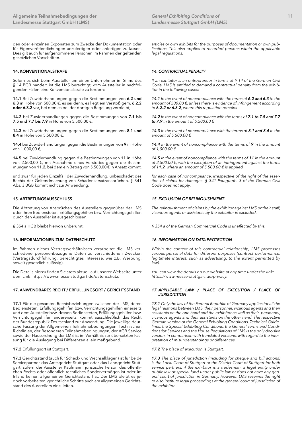den oder einzelnen Exponaten zum Zwecke der Dokumentation oder für Eigenveröffentlichungen anzufertigen oder anfertigen zu lassen. Dies gilt auch für aufgenommene Personen im Rahmen der geltenden gesetzlichen Vorschriften.

# **14. KONVENTIONALSTRAFE**

Sofern es sich beim Aussteller um einen Unternehmer im Sinne des § 14 BGB handelt, ist die LMS berechtigt, vom Aussteller in nachfolgenden Fällen eine Konventionalstrafe zu fordern:

**14.1** Bei Zuwiderhandlungen gegen die Bestimmungen von **6.2 und 6.3** in Höhe von 500,00 €, es sei denn, es liegt ein Verstoß gem. **6.2.2 oder 6.3.2** vor, bei dem es bei der dortigen Regelung verbleibt,

**14.2** bei Zuwiderhandlungen gegen die Bestimmungen von **7.1 bis 7.5 und 7.7 bis 7.9** in Höhe von 5.500,00 €,

**14.3** bei Zuwiderhandlungen gegen die Bestimmungen von **8.1 und 8.4** in Höhe von 5.500,00 €,

**14.4** bei Zuwiderhandlungen gegen die Bestimmungen von **9** in Höhe von 1.000,00 €,

**14.5** bei Zuwiderhandlung gegen die Bestimmungen von **11** in Höhe von 2.500,00 €, mit Ausnahme eines Verstoßes gegen die Bestimmungen von **11.2**, bei dem ein Betrag von 5.500,00 € in Ansatz kommt,

und zwar für jeden Einzelfall der Zuwiderhandlung, unbeschadet des Rechts der Geltendmachung von Schadensersatzansprüchen. § 341 Abs. 3 BGB kommt nicht zur Anwendung.

# **15. ABTRETUNGSAUSSCHLUSS**

Die Abtretung von Ansprüchen des Ausstellers gegenüber der LMS oder ihren Bediensteten, Erfüllungsgehilfen bzw. Verrichtungsgehilfen durch den Aussteller ist ausgeschlossen.

§ 354 a HGB bleibt hiervon unberührt.

#### **16. INFORMATIONEN ZUM DATENSCHUTZ**

Im Rahmen dieses Vertragsverhältnisses verarbeitet die LMS verschiedene personenbezogene Daten zu verschiedenen Zwecken (Vertragsdurchführung, berechtigtes Interesse, wie z.B. Werbung, soweit gesetzlich zulässig).

Die Details hierzu finden Sie stets aktuell auf unserer Webseite unter dem Link: [https://www.messe-stuttgart.de/datenschutz.](https://www.messe-stuttgart.de/datenschutz)

# **17. ANWENDBARES RECHT / ERFÜLLUNGSORT / GERICHTSSTAND**

**17.1** Für die gesamten Rechtsbeziehungen zwischen der LMS, deren Bediensteten, Erfüllungsgehilfen bzw. Verrichtungsgehilfen einerseits und dem Aussteller bzw. dessen Bediensteten, Erfüllungsgehilfen bzw. Verrichtungsgehilfen andererseits, kommt ausschließlich das Recht der Bundesrepublik Deutschland zur Anwendung. Die jeweilige deutsche Fassung der Allgemeinen Teilnahmebedingungen, Technischen Richtlinien, der Besonderen Teilnahmebedingungen, der AGB Service sowie der Hausordnung der LMS ist im Verhältnis zur übersetzten Fassung für die Auslegung bei Differenzen allein maßgebend.

#### **17.2** Erfüllungsort ist Stuttgart.

**17.3** Gerichtsstand (auch für Scheck- und Wechselklagen) ist für beide Servicepartner das Amtsgericht Stuttgart oder das Landgericht Stuttgart, sofern der Aussteller Kaufmann, juristische Person des öffentlichen Rechts oder öffentlich-rechtliches Sondervermögen ist oder im Inland keinen allgemeinen Gerichtsstand hat. Der LMS bleibt es jedoch vorbehalten, gerichtliche Schritte auch am allgemeinen Gerichtsstand des Ausstellers einzuleiten.

*articles or own exhibits for the purposes of documentation or own publications. This also applies to recorded persons within the applicable legal regulations.* 

### *14. CONTRACTUAL PENALTY*

*If an exhibitor is an entrepreneur in terms of § 14 of the German Civil Code, LMS is entitled to demand a contractual penalty from the exhibitor in the following cases:*

*14.1 In the event of noncompliance with the terms of 6.2 and 6.3 to the amount of 500.00 €, unless there is evidence of infringement according to 6.2.2 or 6.3.2, where this regulation remains* 

*14.2 In the event of noncompliance with the terms of 7.1 to 7.5 and 7.7 to 7.9 in the amount of 5,500.00 €*

*14.3 In the event of noncompliance with the terms of 8.1 and 8.4 in the amount of 5,500.00 €*

*14.4 In the event of noncompliance with the terms of 9 in the amount of 1,000.00 €*

*14.5 In the event of noncompliance with the terms of 11 in the amount of 2,500.00 €, with the exception of an infringement against the terms of 11.2, where an amount of 5,500.00 € is applied* 

*for each case of noncompliance, irrespective of the right of the assertion of claims for damages. § 341 Paragraph. 3 of the German Civil Code does not apply.*

## *15. EXCLUSION OF RELINQUISHMENT*

*The relinquishment of claims by the exhibitor against LMS or their staff, vicarious agents or assistants by the exhibitor is excluded.* 

*§ 354 a of the German Commercial Code is unaffected by this.*

## *16. INFORMATION ON DATA PROTECTION*

*Within the context of this contractual relationship, LMS processes various personal data for different purposes (contract performance, legitimate interest, such as advertising, to the extent permitted by law).* 

*You can view the details on our website at any time under the link: [https://www.messe-stuttgart.de/privacy.](https://www.messe-stuttgart.de/privacy)*

#### *17. APPLICABLE LAW / PLACE OF EXECUTION / PLACE OF JURISDICTION*

*17.1 Only the law of the Federal Republic of Germany applies for all the legal relations between LMS, their personnel, vicarious agents and their assistants on the one hand and the exhibitor as well as their personnel, vicarious agents and their assistants on the other hand. The respective German version of the General Exhibiting Conditions, Technical Guidelines, the Special Exhibiting Conditions, the General Terms and Conditions for Services and the House Regulations of LMS is the only decisive version, in comparison with translated versions, with regard to the interpretation of misunderstandings or differences.*

#### *17.2 The place of execution is Stuttgart.*

*17.3 The place of jurisdiction (including for cheque and bill actions) is the Local Court of Stuttgart or the District Court of Stuttgart for both service partners, if the exhibitor is a tradesman, a legal entity under public law or special fund under public law or does not have any general court of jurisdiction in Germany. However, LMS reserves the right*  to also institute legal proceedings at the general court of jurisdiction of *the exhibitor.*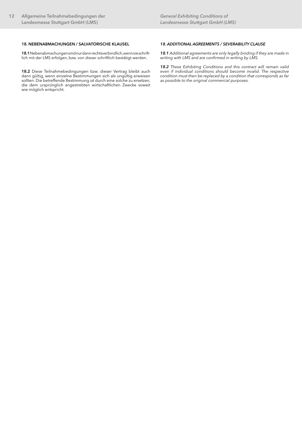# **18. NEBENABMACHUNGEN / SALVATORISCHE KLAUSEL**

**18.1** Nebenabmachungen sind nur dann rechtsverbindlich, wenn sie schriftlich mit der LMS erfolgen, bzw. von dieser schriftlich bestätigt werden.

**18.2** Diese Teilnahmebedingungen bzw. dieser Vertrag bleibt auch dann gültig, wenn einzelne Bestimmungen sich als ungültig erweisen sollten. Die betreffende Bestimmung ist durch eine solche zu ersetzen, die dem ursprünglich angestrebten wirtschaftlichen Zwecke soweit wie möglich entspricht.

## *18. ADDITIONAL AGREEMENTS / SEVERABILITY CLAUSE*

*18.1 Additional agreements are only legally binding if they are made in writing with LMS and are confirmed in writing by LMS.*

*18.2 These Exhibiting Conditions and this contract will remain valid even if individual conditions should become invalid. The respective condition must then be replaced by a condition that corresponds as far as possible to the original commercial purposes.*